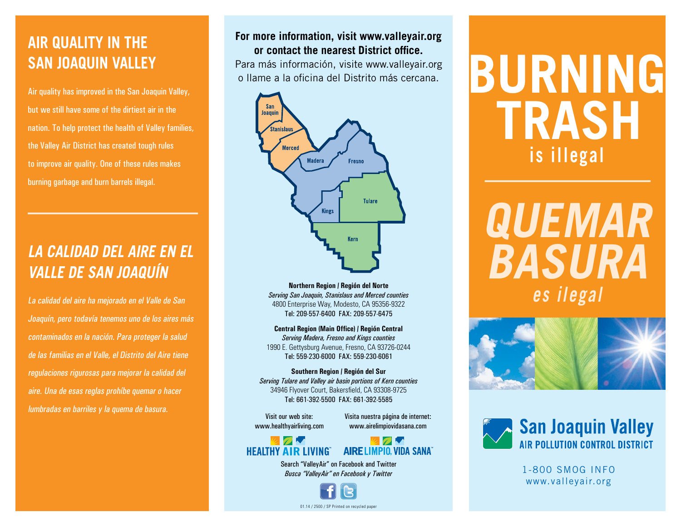# **AIR QUALITY IN THE SAN JOAQUIN VALLEY**

Air quality has improved in the San Joaquin Valley, but we still have some of the dirtiest air in the nation. To help protect the health of Valley families, the Valley Air District has created tough rules to improve air quality. One of these rules makes burning garbage and burn barrels illegal.

# **LA CALIDAD DEL AIRE EN EL VALLE DE SAN JOAQUÍN**

La calidad del aire ha mejorado en el Valle de San Joaquín, pero todavía tenemos uno de los aires más contaminados en la nación. Para proteger la salud de las familias en el Valle, el Distrito del Aire tiene regulaciones rigurosas para mejorar la calidad del aire. Una de esas reglas prohíbe quemar o hacer lumbradas en barriles y la quema de basura.

#### **For more information, visit www.valleyair.org or contact the nearest District office.**

Para más información, visite www.valleyair.org o llame a la oficina del Distrito más cercana.



**Northern Region / Región del Norte** *Serving San Joaquin, Stanislaus and Merced counties* 4800 Enterprise Way, Modesto, CA 95356-9322 Tel: 209-557-6400 FAX: 209-557-6475

**Central Region (Main Office) / Región Central** *Serving Madera, Fresno and Kings counties* 1990 E. Gettysburg Avenue, Fresno, CA 93726-0244 Tel: 559-230-6000 FAX: 559-230-6061

**Southern Region / Región del Sur**  *Serving Tulare and Valley air basin portions of Kern counties* 34946 Flyover Court, Bakersfield, CA 93308-9725 Tel: 661-392-5500 FAX: 661-392-5585

Visit our web site: www.healthyairliving.com Visita nuestra página de internet: www.airelimpiovidasana.com





Search "ValleyAir" on Facebook and Twitter *Busca "ValleyAir" en Facebook y Twitter*

01.14 / 2500 / SP Printed on recycled paper

**BURNING TRASH is illegal**

**QUEMAR BASURA es ilegal**





1-800 SMOG INFO www.valleyair.org